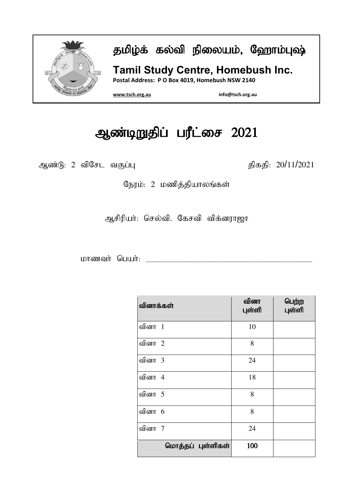

## தமிழ்க் கல்வி நிலையம், ஹோம்புஷ்

**Tamil Study Centre, Homebush Inc.** 

**Postal Address: P O Box 4019, Homebush NSW 2140**

**www.tsch.org.au info@tsch.org.au**

## ஆண்டிறுதிப் பரீட்சை 2021

Mz;L: 2 tpNrl tFg;G jpfjp: 20/11/2021

நேரம்: 2 மணித்தியாலங்கள்

ஆசிரியா்: செல்வி. கேசவி விக்னராஜா

khzth; ngah ;: \_\_\_\_\_\_\_\_\_\_\_\_\_\_\_\_\_\_\_\_\_\_\_\_\_\_\_\_\_\_\_\_\_\_\_\_\_\_\_\_\_\_\_\_\_\_\_\_\_\_\_\_\_\_\_\_\_\_\_\_\_\_\_\_\_\_\_\_\_\_\_\_

| வினாக்கள் |                   | வினா<br>புள்ளி | பெற்ற<br>புள்ளி |
|-----------|-------------------|----------------|-----------------|
| வினா 1    |                   | 10             |                 |
| வினா 2    |                   | 8              |                 |
| வினா 3    |                   | 24             |                 |
| வினா 4    |                   | 18             |                 |
| வினா 5    |                   | 8              |                 |
| வினா 6    |                   | 8              |                 |
| வினா 7    |                   | 24             |                 |
|           | மொத்தப் புள்ளிகள் | 100            |                 |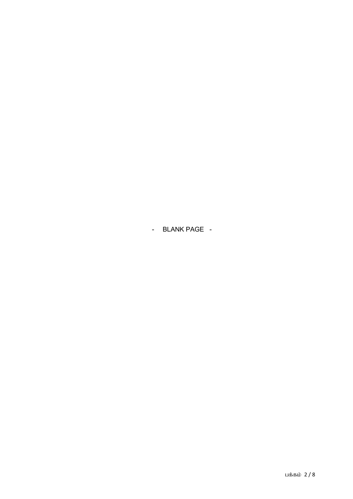- BLANK PAGE -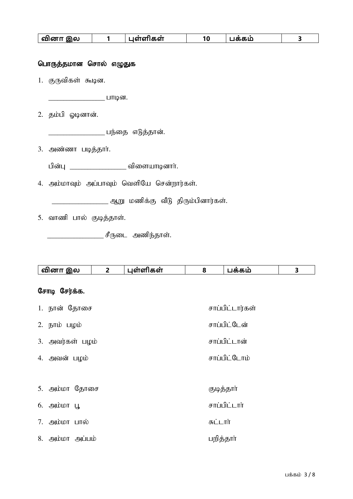## பொருத்தமான சொல் எழுதுக

1. குருவிகள் கூடின.

\_\_\_\_\_\_\_\_\_\_\_\_\_\_\_\_\_\_\_ ghbd.

2. தம்பி ஓடினான்.

\_\_\_\_\_\_\_\_\_\_\_\_\_\_\_\_\_\_\_ ge;ij vLj;jhd;.

3. அண்ணா படித்தார்.

பின்பு \_\_\_\_\_\_\_\_\_\_\_\_\_\_\_\_\_\_\_ விளையாடினாா்.

4. அம்மாவும் அப்பாவும் வெளியே சென்றார்கள்.

\_\_\_\_\_\_\_\_\_\_\_\_\_\_\_\_\_\_\_ MW kzpf;F tPL jpUk;gpdhu;fs ;.

5. வாணி பால் குடித்தாள்.

\_\_\_\_\_\_\_\_\_\_\_\_\_\_\_\_\_\_\_ rPUil mzpe;jhs;.

| வினா இல          | $\overline{2}$ | புள்ளிகள் | 8          | பக்கம்          | 3 |
|------------------|----------------|-----------|------------|-----------------|---|
| சோடி சேர்க்க.    |                |           |            |                 |   |
| 1. நான் தோசை     |                |           |            | சாப்பிட்டார்கள் |   |
| 2. $ b$ ли $ u $ |                |           |            | சாப்பிட்டேன்    |   |
| 3. அவர்கள் பழம்  |                |           |            | சாப்பிட்டான்    |   |
| 4. அவன் பழம்     |                |           |            | சாப்பிட்டோம்    |   |
|                  |                |           |            |                 |   |
| 5. அம்மா தோசை    |                |           | குடித்தாா் |                 |   |
| $6.$ அம்மா பூ    |                |           |            | சாப்பிட்டார்    |   |
| 7. அம்மா பால்    |                |           | சுட்டார்   |                 |   |
| 8. அம்மா அப்பம்  |                |           | பறித்தாா்  |                 |   |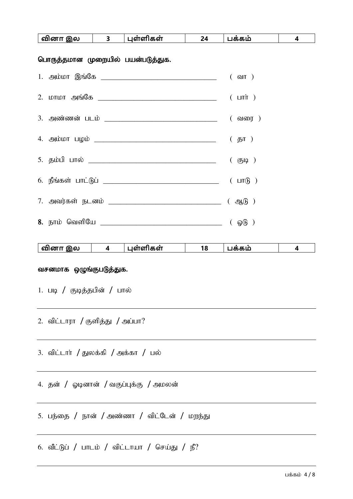|                                     | வினா இல $\qquad \qquad   \qquad 3 \qquad   \;$ புள்ளிகள் | 24        | பக்கம்                         | 4 |
|-------------------------------------|----------------------------------------------------------|-----------|--------------------------------|---|
| பொருத்தமான முறையில் பயன்படுத்துக.   |                                                          |           |                                |   |
|                                     | 1. அம்மா இங்கே __________________________________        |           | $(\theta \text{ all } \theta)$ |   |
|                                     | 2. மாமா அங்கே ___________________________________        |           | $(\overline{\text{min}})$      |   |
|                                     | 3. அண்ணன் படம் _________________________________         |           | ( வரை )                        |   |
|                                     |                                                          |           |                                |   |
|                                     |                                                          |           | $(\Theta \phi)$                |   |
|                                     |                                                          |           |                                |   |
|                                     |                                                          |           |                                |   |
|                                     |                                                          |           |                                |   |
| வினா இல   4  புள்ளிகள்              |                                                          | <b>18</b> | பக்கம்                         | 4 |
|                                     |                                                          |           |                                |   |
| வசனமாக ஒழுங்குபடுத்துக.             |                                                          |           |                                |   |
| 1. படி / குடித்தபின் / பால்         |                                                          |           |                                |   |
| 2. விட்டாரா / குளித்து / அப்பா?     |                                                          |           |                                |   |
|                                     |                                                          |           |                                |   |
| 3. விட்டார் / துலக்கி / அக்கா / பல் |                                                          |           |                                |   |
|                                     | 4. தன் / ஓடினான் / வகுப்புக்கு / அமலன்                   |           |                                |   |
|                                     |                                                          |           |                                |   |
|                                     | 5. பந்தை / நான் / அண்ணா / விட்டேன் / மறந்து              |           |                                |   |
|                                     | 6. வீட்டுப் / பாடம் / விட்டாயா / செய்து / நீ $?$         |           |                                |   |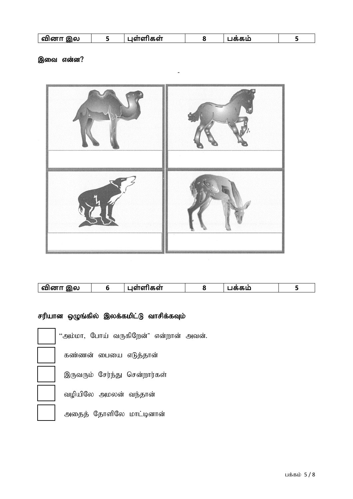| <b>PULP</b><br>- - | --- | ---- |  |
|--------------------|-----|------|--|

இவை என்ன $?$ 



| <i>'n</i> |  | -- |  | _____ |  |
|-----------|--|----|--|-------|--|
|-----------|--|----|--|-------|--|

## சரியான ஒழுங்கில் இலக்கமிட்டு வாசிக்கவும்

"அம்மா, போய் வருகிறேன்" என்றான் அவன். கண்ணன் பையை எடுத்தான் இருவரும் சேர்ந்து சென்றார்கள் வழியிலே அமலன் வந்தான் அதைத் தோளிலே மாட்டினான்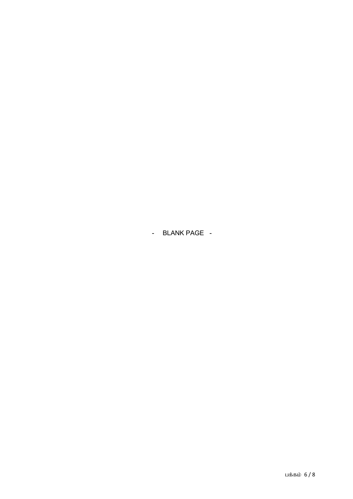- BLANK PAGE -